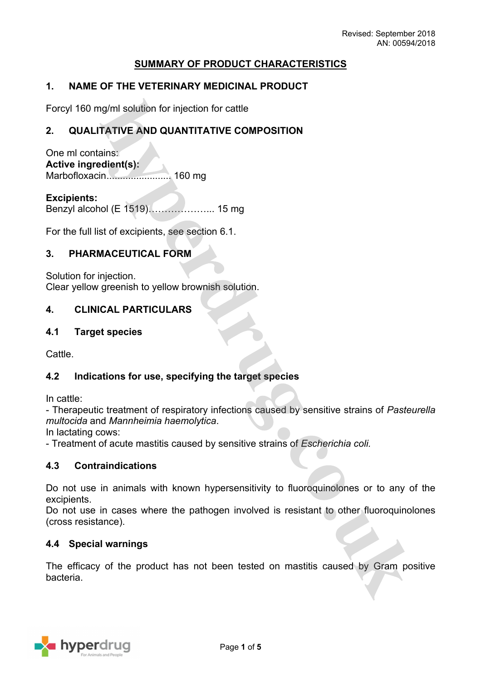# **SUMMARY OF PRODUCT CHARACTERISTICS**

## **1. NAME OF THE VETERINARY MEDICINAL PRODUCT**

Forcyl 160 mg/ml solution for injection for cattle

### **2. QUALITATIVE AND QUANTITATIVE COMPOSITION**

One ml contains: **Active ingredient(s):** Marbofloxacin........................ 160 mg

**Excipients:** Benzyl alcohol (E 1519)………………... 15 mg

For the full list of excipients, see section 6.1.

### **3. PHARMACEUTICAL FORM**

Solution for injection. Clear yellow greenish to yellow brownish solution.

### **4. CLINICAL PARTICULARS**

### **4.1 Target species**

Cattle.

### **4.2 Indications for use, specifying the target species**

In cattle:

- Therapeutic treatment of respiratory infections caused by sensitive strains of *Pasteurella multocida* and *Mannheimia haemolytica*.

In lactating cows:

- Treatment of acute mastitis caused by sensitive strains of *Escherichia coli.*

### **4.3 Contraindications**

Do not use in animals with known hypersensitivity to fluoroquinolones or to any of the excipients.

Do not use in cases where the pathogen involved is resistant to other fluoroquinolones (cross resistance).

### **4.4 Special warnings**

The efficacy of the product has not been tested on mastitis caused by Gram positive bacteria.

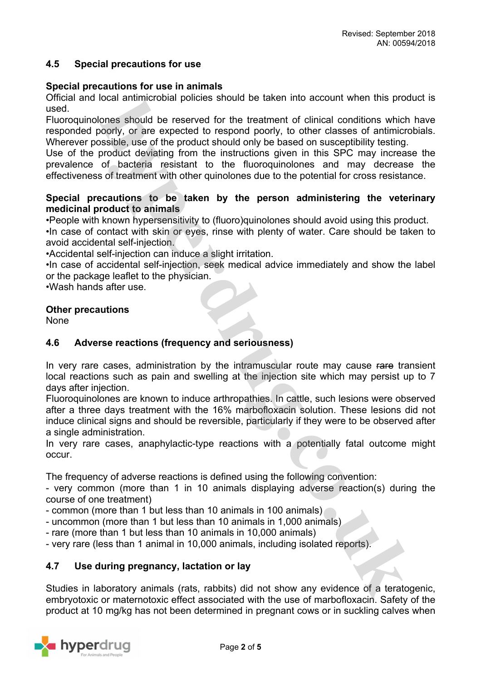### **4.5 Special precautions for use**

#### **Special precautions for use in animals**

Official and local antimicrobial policies should be taken into account when this product is used.

Fluoroquinolones should be reserved for the treatment of clinical conditions which have responded poorly, or are expected to respond poorly, to other classes of antimicrobials. Wherever possible, use of the product should only be based on susceptibility testing.

Use of the product deviating from the instructions given in this SPC may increase the prevalence of bacteria resistant to the fluoroquinolones and may decrease the effectiveness of treatment with other quinolones due to the potential for cross resistance.

### **Special precautions to be taken by the person administering the veterinary medicinal product to animals**

•People with known hypersensitivity to (fluoro)quinolones should avoid using this product.

•In case of contact with skin or eyes, rinse with plenty of water. Care should be taken to avoid accidental self-injection.

•Accidental self-injection can induce a slight irritation.

•In case of accidental self-injection, seek medical advice immediately and show the label or the package leaflet to the physician.

•Wash hands after use.

#### **Other precautions**

None

### **4.6 Adverse reactions (frequency and seriousness)**

In very rare cases, administration by the intramuscular route may cause rare transient local reactions such as pain and swelling at the injection site which may persist up to 7 days after injection.

Fluoroquinolones are known to induce arthropathies. In cattle, such lesions were observed after a three days treatment with the 16% marbofloxacin solution. These lesions did not induce clinical signs and should be reversible, particularly if they were to be observed after a single administration.

In very rare cases, anaphylactic-type reactions with a potentially fatal outcome might occur.

The frequency of adverse reactions is defined using the following convention:

- very common (more than 1 in 10 animals displaying adverse reaction(s) during the course of one treatment)

- common (more than 1 but less than 10 animals in 100 animals)
- uncommon (more than 1 but less than 10 animals in 1,000 animals)
- rare (more than 1 but less than 10 animals in 10,000 animals)

- very rare (less than 1 animal in 10,000 animals, including isolated reports).

## **4.7 Use during pregnancy, lactation or lay**

Studies in laboratory animals (rats, rabbits) did not show any evidence of a teratogenic, embryotoxic or maternotoxic effect associated with the use of marbofloxacin. Safety of the product at 10 mg/kg has not been determined in pregnant cows or in suckling calves when

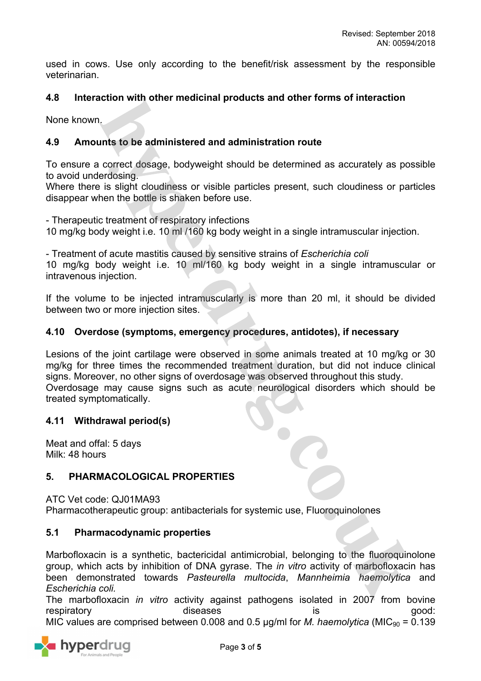used in cows. Use only according to the benefit/risk assessment by the responsible veterinarian.

# **4.8 Interaction with other medicinal products and other forms of interaction**

None known.

## **4.9 Amounts to be administered and administration route**

To ensure a correct dosage, bodyweight should be determined as accurately as possible to avoid underdosing.

Where there is slight cloudiness or visible particles present, such cloudiness or particles disappear when the bottle is shaken before use.

- Therapeutic treatment of respiratory infections

10 mg/kg body weight i.e. 10 ml /160 kg body weight in a single intramuscular injection.

- Treatment of acute mastitis caused by sensitive strains of *Escherichia coli*

10 mg/kg body weight i.e. 10 ml/160 kg body weight in a single intramuscular or intravenous injection.

If the volume to be injected intramuscularly is more than 20 ml, it should be divided between two or more injection sites.

### **4.10 Overdose (symptoms, emergency procedures, antidotes), if necessary**

Lesions of the joint cartilage were observed in some animals treated at 10 mg/kg or 30 mg/kg for three times the recommended treatment duration, but did not induce clinical signs. Moreover, no other signs of overdosage was observed throughout this study. Overdosage may cause signs such as acute neurological disorders which should be treated symptomatically.

### **4.11 Withdrawal period(s)**

Meat and offal: 5 days Milk: 48 hours

# **5. PHARMACOLOGICAL PROPERTIES**

ATC Vet code: QJ01MA93 Pharmacotherapeutic group: antibacterials for systemic use, Fluoroquinolones

## **5.1 Pharmacodynamic properties**

Marbofloxacin is a synthetic, bactericidal antimicrobial, belonging to the fluoroquinolone group, which acts by inhibition of DNA gyrase. The *in vitro* activity of marbofloxacin has been demonstrated towards *Pasteurella multocida*, *Mannheimia haemolytica* and *Escherichia coli.*

The marbofloxacin *in vitro* activity against pathogens isolated in 2007 from bovine respiratory diseases diseases is good: MIC values are comprised between 0.008 and 0.5  $\mu$ g/ml for *M. haemolytica* (MIC<sub>90</sub> = 0.139

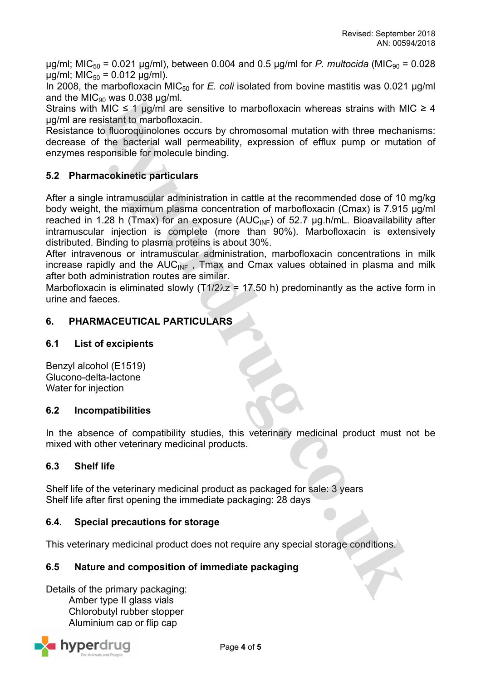$\mu$ g/ml; MIC<sub>50</sub> = 0.021  $\mu$ g/ml), between 0.004 and 0.5  $\mu$ g/ml for *P. multocida* (MIC<sub>90</sub> = 0.028  $\mu$ g/ml; MIC<sub>50</sub> = 0.012  $\mu$ g/ml).

In 2008, the marbofloxacin MIC<sub>50</sub> for *E. coli* isolated from bovine mastitis was 0.021 µg/ml and the MIC $_{90}$  was 0.038 µg/ml.

Strains with MIC  $\leq$  1 µg/ml are sensitive to marbofloxacin whereas strains with MIC  $\geq$  4 µg/ml are resistant to marbofloxacin.

Resistance to fluoroquinolones occurs by chromosomal mutation with three mechanisms: decrease of the bacterial wall permeability, expression of efflux pump or mutation of enzymes responsible for molecule binding.

# **5.2 Pharmacokinetic particulars**

After a single intramuscular administration in cattle at the recommended dose of 10 mg/kg body weight, the maximum plasma concentration of marbofloxacin (Cmax) is 7.915 µg/ml reached in 1.28 h (Tmax) for an exposure (AUC<sub>INF</sub>) of 52.7  $\mu$ g.h/mL. Bioavailability after intramuscular injection is complete (more than 90%). Marbofloxacin is extensively distributed. Binding to plasma proteins is about 30%.

After intravenous or intramuscular administration, marbofloxacin concentrations in milk increase rapidly and the  $AUC_{INF}$ , Tmax and Cmax values obtained in plasma and milk after both administration routes are similar.

Marbofloxacin is eliminated slowly ( $T1/2\lambda z = 17.50$  h) predominantly as the active form in urine and faeces.

# **6. PHARMACEUTICAL PARTICULARS**

# **6.1 List of excipients**

Benzyl alcohol (E1519) Glucono-delta-lactone Water for injection

## **6.2 Incompatibilities**

In the absence of compatibility studies, this veterinary medicinal product must not be mixed with other veterinary medicinal products.

## **6.3 Shelf life**

Shelf life of the veterinary medicinal product as packaged for sale: 3 years Shelf life after first opening the immediate packaging: 28 days

## **6.4. Special precautions for storage**

This veterinary medicinal product does not require any special storage conditions.

# **6.5 Nature and composition of immediate packaging**

Details of the primary packaging: Amber type II glass vials Chlorobutyl rubber stopper Aluminium cap or flip cap